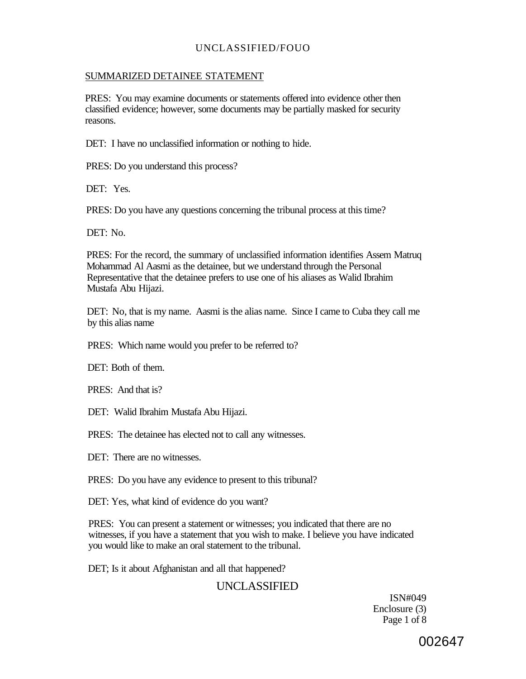#### SUMMARIZED DETAINEE STATEMENT

PRES: You may examine documents or statements offered into evidence other then classified evidence; however, some documents may be partially masked for security reasons.

DET: I have no unclassified information or nothing to hide.

PRES: Do you understand this process?

DET: Yes.

PRES: Do you have any questions concerning the tribunal process at this time?

DET: No.

PRES: For the record, the summary of unclassified information identifies Assem Matruq Mohammad Al Aasmi as the detainee, but we understand through the Personal Representative that the detainee prefers to use one of his aliases as Walid Ibrahim Mustafa Abu Hijazi.

DET: No, that is my name. Aasmi is the alias name. Since I came to Cuba they call me by this alias name

PRES: Which name would you prefer to be referred to?

DET: Both of them.

PRES: And that is?

DET: Walid Ibrahim Mustafa Abu Hijazi.

PRES: The detainee has elected not to call any witnesses.

DET: There are no witnesses.

PRES: Do you have any evidence to present to this tribunal?

DET: Yes, what kind of evidence do you want?

PRES: You can present a statement or witnesses; you indicated that there are no witnesses, if you have a statement that you wish to make. I believe you have indicated you would like to make an oral statement to the tribunal.

DET; Is it about Afghanistan and all that happened?

## UNCLASSIFIED

ISN#049 Enclosure (3) Page 1 of 8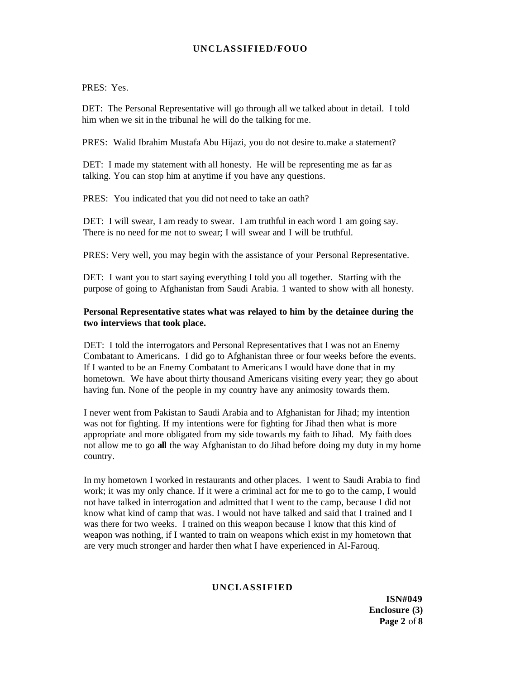PRES: Yes.

DET: The Personal Representative will go through all we talked about in detail. I told him when we sit in the tribunal he will do the talking for me.

PRES: Walid Ibrahim Mustafa Abu Hijazi, you do not desire to.make a statement?

DET: I made my statement with all honesty. He will be representing me as far as talking. You can stop him at anytime if you have any questions.

PRES: You indicated that you did not need to take an oath?

DET: I will swear, I am ready to swear. I am truthful in each word 1 am going say. There is no need for me not to swear; I will swear and I will be truthful.

PRES: Very well, you may begin with the assistance of your Personal Representative.

DET: I want you to start saying everything I told you all together. Starting with the purpose of going to Afghanistan from Saudi Arabia. 1 wanted to show with all honesty.

#### **Personal Representative states what was relayed to him by the detainee during the two interviews that took place.**

DET: I told the interrogators and Personal Representatives that I was not an Enemy Combatant to Americans. I did go to Afghanistan three or four weeks before the events. If I wanted to be an Enemy Combatant to Americans I would have done that in my hometown. We have about thirty thousand Americans visiting every year; they go about having fun. None of the people in my country have any animosity towards them.

I never went from Pakistan to Saudi Arabia and to Afghanistan for Jihad; my intention was not for fighting. If my intentions were for fighting for Jihad then what is more appropriate and more obligated from my side towards my faith to Jihad. My faith does not allow me to go **all** the way Afghanistan to do Jihad before doing my duty in my home country.

In my hometown I worked in restaurants and other places. I went to Saudi Arabia to find work; it was my only chance. If it were a criminal act for me to go to the camp, I would not have talked in interrogation and admitted that I went to the camp, because I did not know what kind of camp that was. I would not have talked and said that I trained and I was there for two weeks. I trained on this weapon because I know that this kind of weapon was nothing, if I wanted to train on weapons which exist in my hometown that are very much stronger and harder then what I have experienced in Al-Farouq.

#### **UNCLASSIFIED**

**ISN#049 Enclosure (3) Page 2** of **8**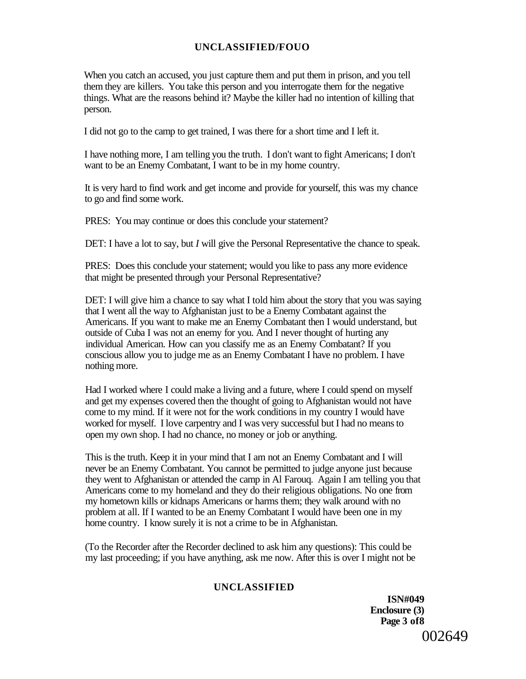When you catch an accused, you just capture them and put them in prison, and you tell them they are killers. You take this person and you interrogate them for the negative things. What are the reasons behind it? Maybe the killer had no intention of killing that person.

I did not go to the camp to get trained, I was there for a short time and I left it.

I have nothing more, I am telling you the truth. I don't want to fight Americans; I don't want to be an Enemy Combatant, I want to be in my home country.

It is very hard to find work and get income and provide for yourself, this was my chance to go and find some work.

PRES: You may continue or does this conclude your statement?

DET: I have a lot to say, but *I* will give the Personal Representative the chance to speak.

PRES: Does this conclude your statement; would you like to pass any more evidence that might be presented through your Personal Representative?

DET: I will give him a chance to say what I told him about the story that you was saying that I went all the way to Afghanistan just to be a Enemy Combatant against the Americans. If you want to make me an Enemy Combatant then I would understand, but outside of Cuba I was not an enemy for you. And I never thought of hurting any individual American. How can you classify me as an Enemy Combatant? If you conscious allow you to judge me as an Enemy Combatant I have no problem. I have nothing more.

Had I worked where I could make a living and a future, where I could spend on myself and get my expenses covered then the thought of going to Afghanistan would not have come to my mind. If it were not for the work conditions in my country I would have worked for myself. I love carpentry and I was very successful but I had no means to open my own shop. I had no chance, no money or job or anything.

This is the truth. Keep it in your mind that I am not an Enemy Combatant and I will never be an Enemy Combatant. You cannot be permitted to judge anyone just because they went to Afghanistan or attended the camp in Al Farouq. Again I am telling you that Americans come to my homeland and they do their religious obligations. No one from my hometown kills or kidnaps Americans or harms them; they walk around with no problem at all. If I wanted to be an Enemy Combatant I would have been one in my home country. I know surely it is not a crime to be in Afghanistan.

(To the Recorder after the Recorder declined to ask him any questions): This could be my last proceeding; if you have anything, ask me now. After this is over I might not be

### **UNCLASSIFIED**

**ISN#049 Enclosure (3) Page 3 of8**  002649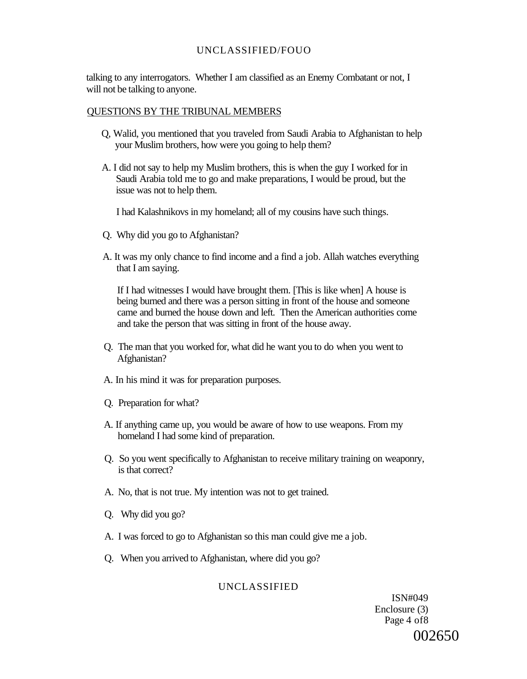talking to any interrogators. Whether I am classified as an Enemy Combatant or not, I will not be talking to anyone.

#### QUESTIONS BY THE TRIBUNAL MEMBERS

- Q, Walid, you mentioned that you traveled from Saudi Arabia to Afghanistan to help your Muslim brothers, how were you going to help them?
- A. I did not say to help my Muslim brothers, this is when the guy I worked for in Saudi Arabia told me to go and make preparations, I would be proud, but the issue was not to help them.

I had Kalashnikovs in my homeland; all of my cousins have such things.

- Q. Why did you go to Afghanistan?
- A. It was my only chance to find income and a find a job. Allah watches everything that I am saying.

If I had witnesses I would have brought them. [This is like when] A house is being burned and there was a person sitting in front of the house and someone came and burned the house down and left. Then the American authorities come and take the person that was sitting in front of the house away.

- Q. The man that you worked for, what did he want you to do when you went to Afghanistan?
- A. In his mind it was for preparation purposes.
- Q. Preparation for what?
- A. If anything came up, you would be aware of how to use weapons. From my homeland I had some kind of preparation.
- Q. So you went specifically to Afghanistan to receive military training on weaponry, is that correct?
- A. No, that is not true. My intention was not to get trained.
- Q. Why did you go?
- A. I was forced to go to Afghanistan so this man could give me a job.
- Q. When you arrived to Afghanistan, where did you go?

#### UNCLASSIFIED

ISN#049 Enclosure (3) Page 4 of8 002650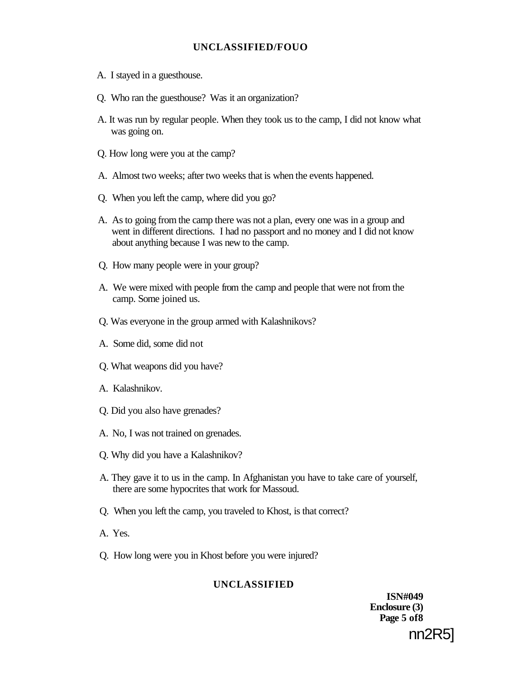- A. I stayed in a guesthouse.
- Q. Who ran the guesthouse? Was it an organization?
- A. It was run by regular people. When they took us to the camp, I did not know what was going on.
- Q. How long were you at the camp?
- A. Almost two weeks; after two weeks that is when the events happened.
- Q. When you left the camp, where did you go?
- A. As to going from the camp there was not a plan, every one was in a group and went in different directions. I had no passport and no money and I did not know about anything because I was new to the camp.
- Q. How many people were in your group?
- A. We were mixed with people from the camp and people that were not from the camp. Some joined us.
- Q. Was everyone in the group armed with Kalashnikovs?
- A. Some did, some did not
- Q. What weapons did you have?
- A. Kalashnikov.
- Q. Did you also have grenades?
- A. No, I was not trained on grenades.
- Q. Why did you have a Kalashnikov?
- A. They gave it to us in the camp. In Afghanistan you have to take care of yourself, there are some hypocrites that work for Massoud.
- Q. When you left the camp, you traveled to Khost, is that correct?
- A. Yes.
- Q. How long were you in Khost before you were injured?

### **UNCLASSIFIED**

**ISN#049 Enclosure (3) Page 5 of8**  nn2R5]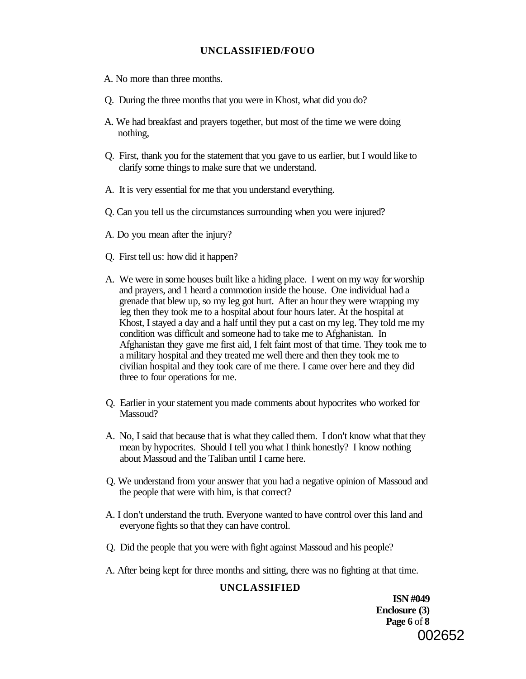- A. No more than three months.
- Q. During the three months that you were in Khost, what did you do?
- A. We had breakfast and prayers together, but most of the time we were doing nothing,
- Q. First, thank you for the statement that you gave to us earlier, but I would like to clarify some things to make sure that we understand.
- A. It is very essential for me that you understand everything.
- Q. Can you tell us the circumstances surrounding when you were injured?
- A. Do you mean after the injury?
- Q. First tell us: how did it happen?
- A. We were in some houses built like a hiding place. I went on my way for worship and prayers, and 1 heard a commotion inside the house. One individual had a grenade that blew up, so my leg got hurt. After an hour they were wrapping my leg then they took me to a hospital about four hours later. At the hospital at Khost, I stayed a day and a half until they put a cast on my leg. They told me my condition was difficult and someone had to take me to Afghanistan. In Afghanistan they gave me first aid, I felt faint most of that time. They took me to a military hospital and they treated me well there and then they took me to civilian hospital and they took care of me there. I came over here and they did three to four operations for me.
- Q. Earlier in your statement you made comments about hypocrites who worked for Massoud?
- A. No, I said that because that is what they called them. I don't know what that they mean by hypocrites. Should I tell you what I think honestly? I know nothing about Massoud and the Taliban until I came here.
- Q. We understand from your answer that you had a negative opinion of Massoud and the people that were with him, is that correct?
- A. I don't understand the truth. Everyone wanted to have control over this land and everyone fights so that they can have control.
- Q. Did the people that you were with fight against Massoud and his people?
- A. After being kept for three months and sitting, there was no fighting at that time.

### **UNCLASSIFIED**

**ISN #049 Enclosure (3) Page 6** of **8**  002652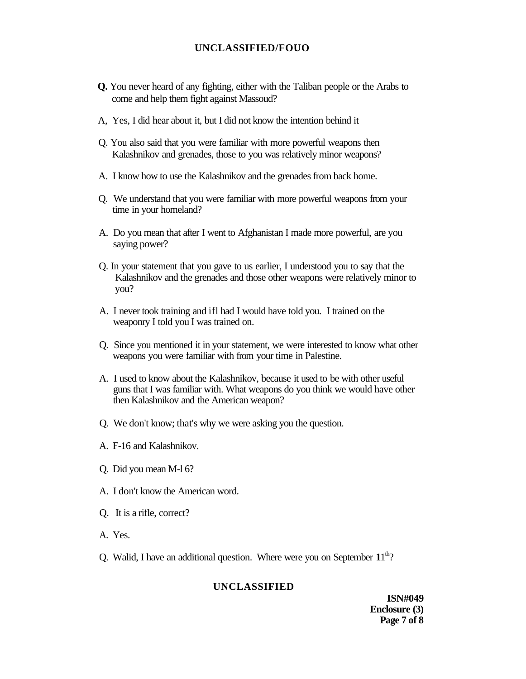- **Q.** You never heard of any fighting, either with the Taliban people or the Arabs to come and help them fight against Massoud?
- A, Yes, I did hear about it, but I did not know the intention behind it
- Q. You also said that you were familiar with more powerful weapons then Kalashnikov and grenades, those to you was relatively minor weapons?
- A. I know how to use the Kalashnikov and the grenades from back home.
- Q. We understand that you were familiar with more powerful weapons from your time in your homeland?
- A. Do you mean that after I went to Afghanistan I made more powerful, are you saying power?
- Q. In your statement that you gave to us earlier, I understood you to say that the Kalashnikov and the grenades and those other weapons were relatively minor to you?
- A. I never took training and ifl had I would have told you. I trained on the weaponry I told you I was trained on.
- Q. Since you mentioned it in your statement, we were interested to know what other weapons you were familiar with from your time in Palestine.
- A. I used to know about the Kalashnikov, because it used to be with other useful guns that I was familiar with. What weapons do you think we would have other then Kalashnikov and the American weapon?
- Q. We don't know; that's why we were asking you the question.
- A. F-16 and Kalashnikov.
- Q. Did you mean M-l 6?
- A. I don't know the American word.
- Q. It is a rifle, correct?
- A. Yes.
- Q. Walid, I have an additional question. Where were you on September  $11<sup>th</sup>$ ?

#### **UNCLASSIFIED**

**ISN#049 Enclosure (3) Page 7 of 8**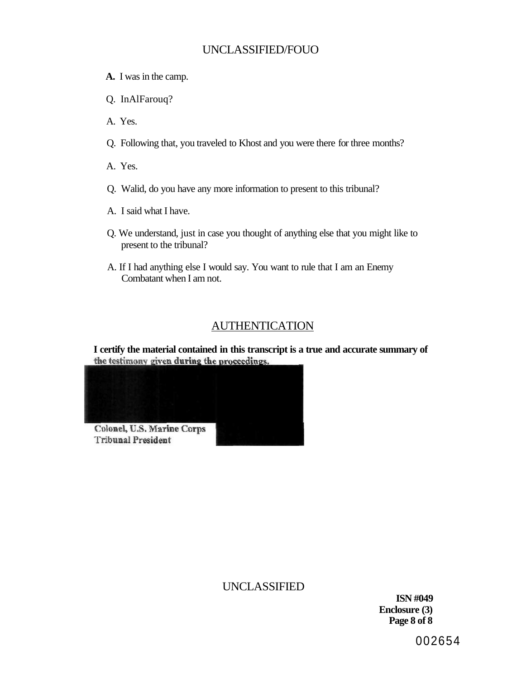- **A.** I was in the camp.
- Q. InAlFarouq?
- A. Yes.
- Q. Following that, you traveled to Khost and you were there for three months?
- A. Yes.
- Q. Walid, do you have any more information to present to this tribunal?
- A. I said what I have.
- Q. We understand, just in case you thought of anything else that you might like to present to the tribunal?
- A. If I had anything else I would say. You want to rule that I am an Enemy Combatant when I am not.

## AUTHENTICATION

**I certify the material contained in this transcript is a true and accurate summary of** 



## UNCLASSIFIED

**ISN #049 Enclosure (3) Page 8 of 8**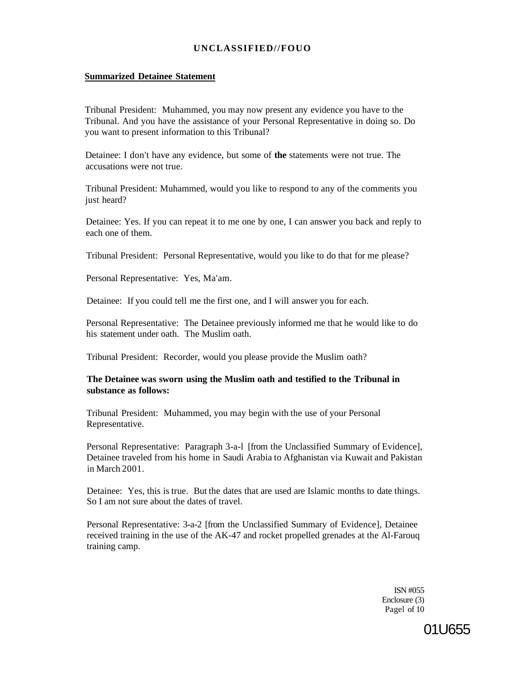#### **Summarized Detainee Statement**

Tribunal President: Muhammed, you may now present any evidence you have to the Tribunal. And you have the assistance of your Personal Representative in doing so. Do you want to present information to this Tribunal?

Detainee: I don't have any evidence, but some of **the** statements were not true. The accusations were not true.

Tribunal President: Muhammed, would you like to respond to any of the comments you just heard?

Detainee: Yes. If you can repeat it to me one by one, I can answer you back and reply to each one of them.

Tribunal President: Personal Representative, would you like to do that for me please?

Personal Representative: Yes, Ma'am.

Detainee: If you could tell me the first one, and I will answer you for each.

Personal Representative: The Detainee previously informed me that he would like to do his statement under oath. The Muslim oath.

Tribunal President: Recorder, would you please provide the Muslim oath?

#### **The Detainee was sworn using the Muslim oath and testified to the Tribunal in substance as follows:**

Tribunal President: Muhammed, you may begin with the use of your Personal Representative.

Personal Representative: Paragraph 3-a-l [from the Unclassified Summary of Evidence], Detainee traveled from his home in Saudi Arabia to Afghanistan via Kuwait and Pakistan in March 2001.

Detainee: Yes, this is true. But the dates that are used are Islamic months to date things. So I am not sure about the dates of travel.

Personal Representative: 3-a-2 [from the Unclassified Summary of Evidence], Detainee received training in the use of the AK-47 and rocket propelled grenades at the Al-Farouq training camp.

> ISN #055 Enclosure (3) Pagel of 10

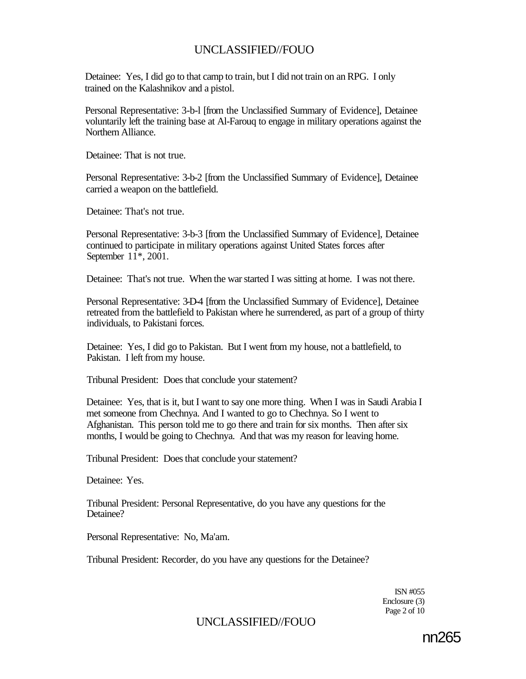Detainee: Yes, I did go to that camp to train, but I did not train on an RPG. I only trained on the Kalashnikov and a pistol.

Personal Representative: 3-b-l [from the Unclassified Summary of Evidence], Detainee voluntarily left the training base at Al-Farouq to engage in military operations against the Northern Alliance.

Detainee: That is not true.

Personal Representative: 3-b-2 [from the Unclassified Summary of Evidence], Detainee carried a weapon on the battlefield.

Detainee: That's not true.

Personal Representative: 3-b-3 [from the Unclassified Summary of Evidence], Detainee continued to participate in military operations against United States forces after September 11\*, 2001.

Detainee: That's not true. When the war started I was sitting at home. I was not there.

Personal Representative: 3-D-4 [from the Unclassified Summary of Evidence], Detainee retreated from the battlefield to Pakistan where he surrendered, as part of a group of thirty individuals, to Pakistani forces.

Detainee: Yes, I did go to Pakistan. But I went from my house, not a battlefield, to Pakistan. I left from my house.

Tribunal President: Does that conclude your statement?

Detainee: Yes, that is it, but I want to say one more thing. When I was in Saudi Arabia I met someone from Chechnya. And I wanted to go to Chechnya. So I went to Afghanistan. This person told me to go there and train for six months. Then after six months, I would be going to Chechnya. And that was my reason for leaving home.

Tribunal President: Does that conclude your statement?

Detainee: Yes.

Tribunal President: Personal Representative, do you have any questions for the Detainee?

Personal Representative: No, Ma'am.

Tribunal President: Recorder, do you have any questions for the Detainee?

ISN #055 Enclosure (3) Page 2 of 10

## UNCLASSIFIED//FOUO

nn265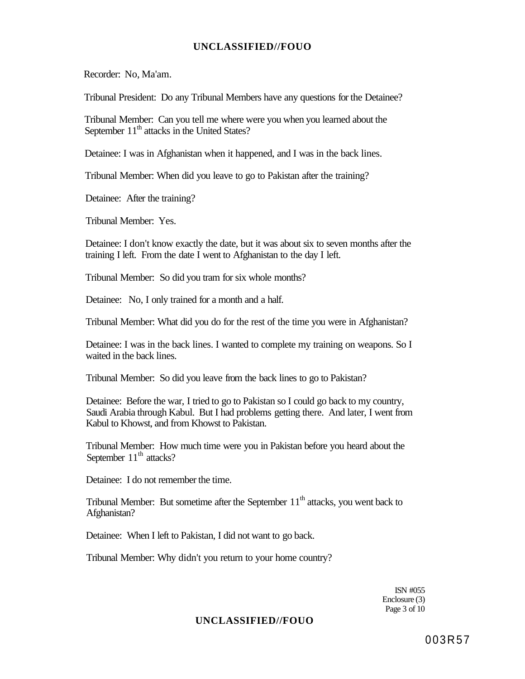Recorder: No, Ma'am.

Tribunal President: Do any Tribunal Members have any questions for the Detainee?

Tribunal Member: Can you tell me where were you when you learned about the September 11<sup>th</sup> attacks in the United States?

Detainee: I was in Afghanistan when it happened, and I was in the back lines.

Tribunal Member: When did you leave to go to Pakistan after the training?

Detainee: After the training?

Tribunal Member: Yes.

Detainee: I don't know exactly the date, but it was about six to seven months after the training I left. From the date I went to Afghanistan to the day I left.

Tribunal Member: So did you tram for six whole months?

Detainee: No, I only trained for a month and a half.

Tribunal Member: What did you do for the rest of the time you were in Afghanistan?

Detainee: I was in the back lines. I wanted to complete my training on weapons. So I waited in the back lines.

Tribunal Member: So did you leave from the back lines to go to Pakistan?

Detainee: Before the war, I tried to go to Pakistan so I could go back to my country, Saudi Arabia through Kabul. But I had problems getting there. And later, I went from Kabul to Khowst, and from Khowst to Pakistan.

Tribunal Member: How much time were you in Pakistan before you heard about the September  $11<sup>th</sup>$  attacks?

Detainee: I do not remember the time.

Tribunal Member: But sometime after the September  $11<sup>th</sup>$  attacks, you went back to Afghanistan?

Detainee: When I left to Pakistan, I did not want to go back.

Tribunal Member: Why didn't you return to your home country?

ISN #055 Enclosure (3) Page 3 of 10

### **UNCLASSIFIED//FOUO**

003R57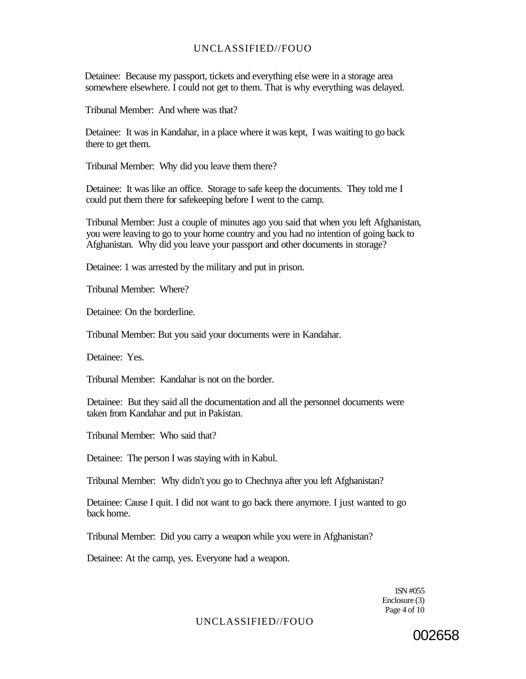Detainee: Because my passport, tickets and everything else were in a storage area somewhere elsewhere. I could not get to them. That is why everything was delayed.

Tribunal Member: And where was that?

Detainee: It was in Kandahar, in a place where it was kept, I was waiting to go back there to get them.

Tribunal Member: Why did you leave them there?

Detainee: It was like an office. Storage to safe keep the documents. They told me I could put them there for safekeeping before I went to the camp.

Tribunal Member: Just a couple of minutes ago you said that when you left Afghanistan, you were leaving to go to your home country and you had no intention of going back to Afghanistan. Why did you leave your passport and other documents in storage?

Detainee: 1 was arrested by the military and put in prison.

Tribunal Member: Where?

Detainee: On the borderline.

Tribunal Member: But you said your documents were in Kandahar.

Detainee: Yes.

Tribunal Member: Kandahar is not on the border.

Detainee: But they said all the documentation and all the personnel documents were taken from Kandahar and put in Pakistan.

Tribunal Member: Who said that?

Detainee: The person I was staying with in Kabul.

Tribunal Member: Why didn't you go to Chechnya after you left Afghanistan?

Detainee: Cause I quit. I did not want to go back there anymore. I just wanted to go back home.

Tribunal Member: Did you carry a weapon while you were in Afghanistan?

Detainee: At the camp, yes. Everyone had a weapon.

1SN #055 Enclosure (3) Page 4 of 10

UNCLASSIFIED//FOUO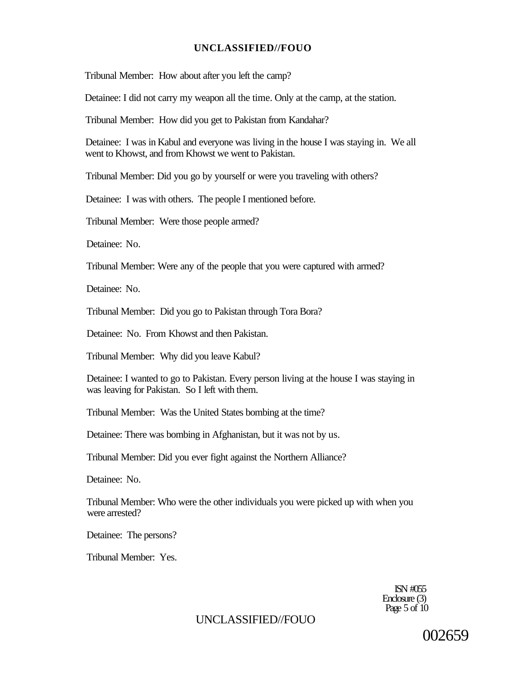Tribunal Member: How about after you left the camp?

Detainee: I did not carry my weapon all the time. Only at the camp, at the station.

Tribunal Member: How did you get to Pakistan from Kandahar?

Detainee: I was in Kabul and everyone was living in the house I was staying in. We all went to Khowst, and from Khowst we went to Pakistan.

Tribunal Member: Did you go by yourself or were you traveling with others?

Detainee: I was with others. The people I mentioned before.

Tribunal Member: Were those people armed?

Detainee: No.

Tribunal Member: Were any of the people that you were captured with armed?

Detainee: No.

Tribunal Member: Did you go to Pakistan through Tora Bora?

Detainee: No. From Khowst and then Pakistan.

Tribunal Member: Why did you leave Kabul?

Detainee: I wanted to go to Pakistan. Every person living at the house I was staying in was leaving for Pakistan. So I left with them.

Tribunal Member: Was the United States bombing at the time?

Detainee: There was bombing in Afghanistan, but it was not by us.

Tribunal Member: Did you ever fight against the Northern Alliance?

Detainee: No.

Tribunal Member: Who were the other individuals you were picked up with when you were arrested?

Detainee: The persons?

Tribunal Member: Yes.

ISN #055 Enclosure (3) Page  $5$  of  $10$ 

### UNCLASSIFIED//FOUO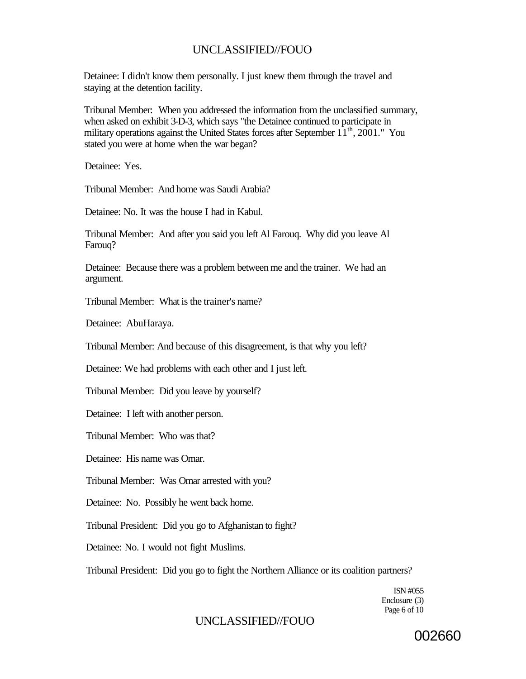Detainee: I didn't know them personally. I just knew them through the travel and staying at the detention facility.

Tribunal Member: When you addressed the information from the unclassified summary, when asked on exhibit 3-D-3, which says "the Detainee continued to participate in military operations against the United States forces after September  $11<sup>th</sup>$ , 2001." You stated you were at home when the war began?

Detainee: Yes.

Tribunal Member: And home was Saudi Arabia?

Detainee: No. It was the house I had in Kabul.

Tribunal Member: And after you said you left Al Farouq. Why did you leave Al Farouq?

Detainee: Because there was a problem between me and the trainer. We had an argument.

Tribunal Member: What is the trainer's name?

Detainee: AbuHaraya.

Tribunal Member: And because of this disagreement, is that why you left?

Detainee: We had problems with each other and I just left.

Tribunal Member: Did you leave by yourself?

Detainee: I left with another person.

Tribunal Member: Who was that?

Detainee: His name was Omar.

Tribunal Member: Was Omar arrested with you?

Detainee: No. Possibly he went back home.

Tribunal President: Did you go to Afghanistan to fight?

Detainee: No. I would not fight Muslims.

Tribunal President: Did you go to fight the Northern Alliance or its coalition partners?

ISN #055 Enclosure (3) Page 6 of 10

## UNCLASSIFIED//FOUO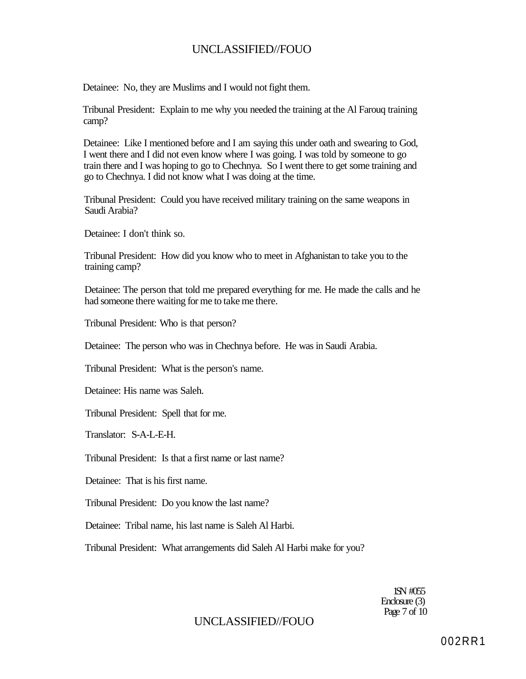Detainee: No, they are Muslims and I would not fight them.

Tribunal President: Explain to me why you needed the training at the Al Farouq training camp?

Detainee: Like I mentioned before and I am saying this under oath and swearing to God, I went there and I did not even know where I was going. I was told by someone to go train there and I was hoping to go to Chechnya. So I went there to get some training and go to Chechnya. I did not know what I was doing at the time.

Tribunal President: Could you have received military training on the same weapons in Saudi Arabia?

Detainee: I don't think so.

Tribunal President: How did you know who to meet in Afghanistan to take you to the training camp?

Detainee: The person that told me prepared everything for me. He made the calls and he had someone there waiting for me to take me there.

Tribunal President: Who is that person?

Detainee: The person who was in Chechnya before. He was in Saudi Arabia.

Tribunal President: What is the person's name.

Detainee: His name was Saleh.

Tribunal President: Spell that for me.

Translator: S-A-L-E-H.

Tribunal President: Is that a first name or last name?

Detainee: That is his first name.

Tribunal President: Do you know the last name?

Detainee: Tribal name, his last name is Saleh Al Harbi.

Tribunal President: What arrangements did Saleh Al Harbi make for you?

1SN #055 Enclosure (3) Page 7 of 10

## UNCLASSIFIED//FOUO

002RR1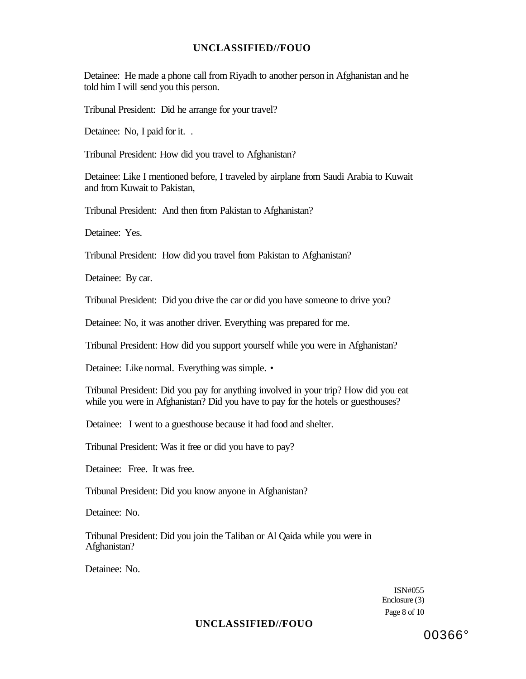Detainee: He made a phone call from Riyadh to another person in Afghanistan and he told him I will send you this person.

Tribunal President: Did he arrange for your travel?

Detainee: No, I paid for it...

Tribunal President: How did you travel to Afghanistan?

Detainee: Like I mentioned before, I traveled by airplane from Saudi Arabia to Kuwait and from Kuwait to Pakistan,

Tribunal President: And then from Pakistan to Afghanistan?

Detainee: Yes.

Tribunal President: How did you travel from Pakistan to Afghanistan?

Detainee: By car.

Tribunal President: Did you drive the car or did you have someone to drive you?

Detainee: No, it was another driver. Everything was prepared for me.

Tribunal President: How did you support yourself while you were in Afghanistan?

Detainee: Like normal. Everything was simple. •

Tribunal President: Did you pay for anything involved in your trip? How did you eat while you were in Afghanistan? Did you have to pay for the hotels or guesthouses?

Detainee: I went to a guesthouse because it had food and shelter.

Tribunal President: Was it free or did you have to pay?

Detainee: Free. It was free.

Tribunal President: Did you know anyone in Afghanistan?

Detainee: No.

Tribunal President: Did you join the Taliban or Al Qaida while you were in Afghanistan?

Detainee: No.

ISN#055 Enclosure (3) Page 8 of 10

#### **UNCLASSIFIED//FOUO**

00366°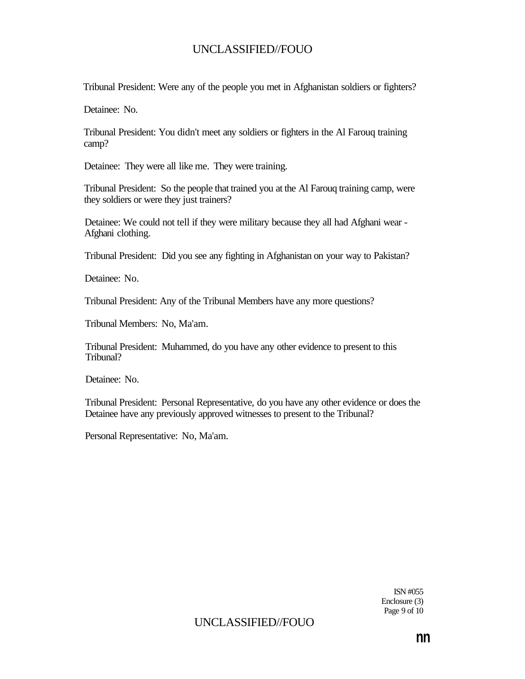Tribunal President: Were any of the people you met in Afghanistan soldiers or fighters?

Detainee: No.

Tribunal President: You didn't meet any soldiers or fighters in the Al Farouq training camp?

Detainee: They were all like me. They were training.

Tribunal President: So the people that trained you at the Al Farouq training camp, were they soldiers or were they just trainers?

Detainee: We could not tell if they were military because they all had Afghani wear - Afghani clothing.

Tribunal President: Did you see any fighting in Afghanistan on your way to Pakistan?

Detainee: No.

Tribunal President: Any of the Tribunal Members have any more questions?

Tribunal Members: No, Ma'am.

Tribunal President: Muhammed, do you have any other evidence to present to this Tribunal?

Detainee: No.

Tribunal President: Personal Representative, do you have any other evidence or does the Detainee have any previously approved witnesses to present to the Tribunal?

Personal Representative: No, Ma'am.

ISN #055 Enclosure (3) Page 9 of 10

## UNCLASSIFIED//FOUO